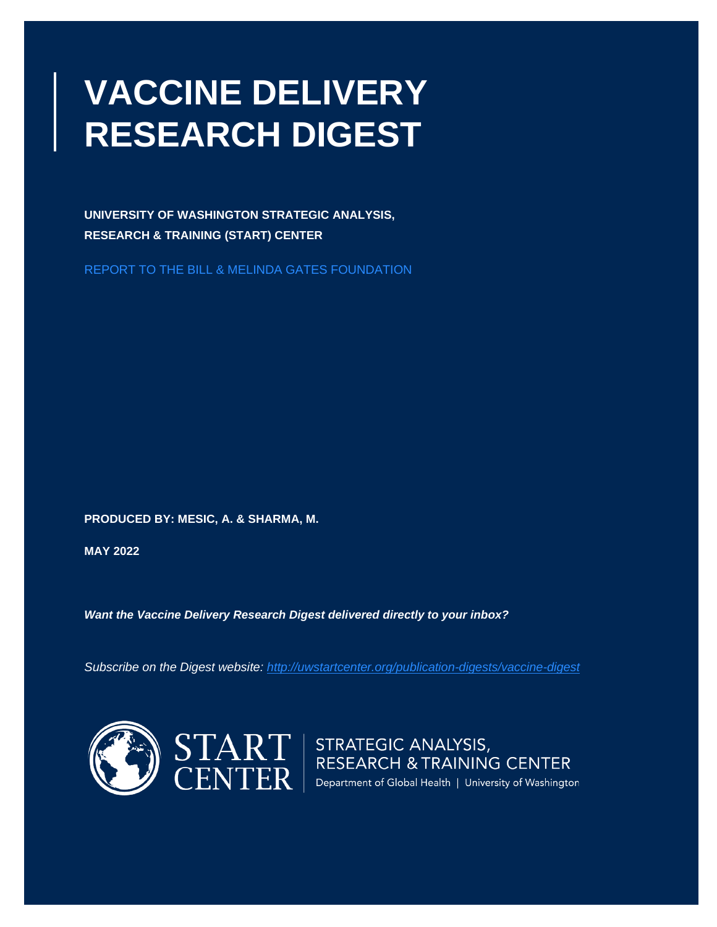# **VACCINE DELIVERY RESEARCH DIGEST**

**UNIVERSITY OF WASHINGTON STRATEGIC ANALYSIS, RESEARCH & TRAINING (START) CENTER** 

REPORT TO THE BILL & MELINDA GATES FOUNDATION

**PRODUCED BY: MESIC, A. & SHARMA, M.**

**MAY 2022**

*Want the Vaccine Delivery Research Digest delivered directly to your inbox?*

*Subscribe on the Digest website:<http://uwstartcenter.org/publication-digests/vaccine-digest>*



 $\left|\frac{\text{START}}{\text{restriction}}\right|$  STRATEGIC ANALYSIS,<br> $\left|\frac{\text{EXERCISEARCH 8 TRAINING CENTER}}{\text{Department of Global Health | University of Washington}}\right|$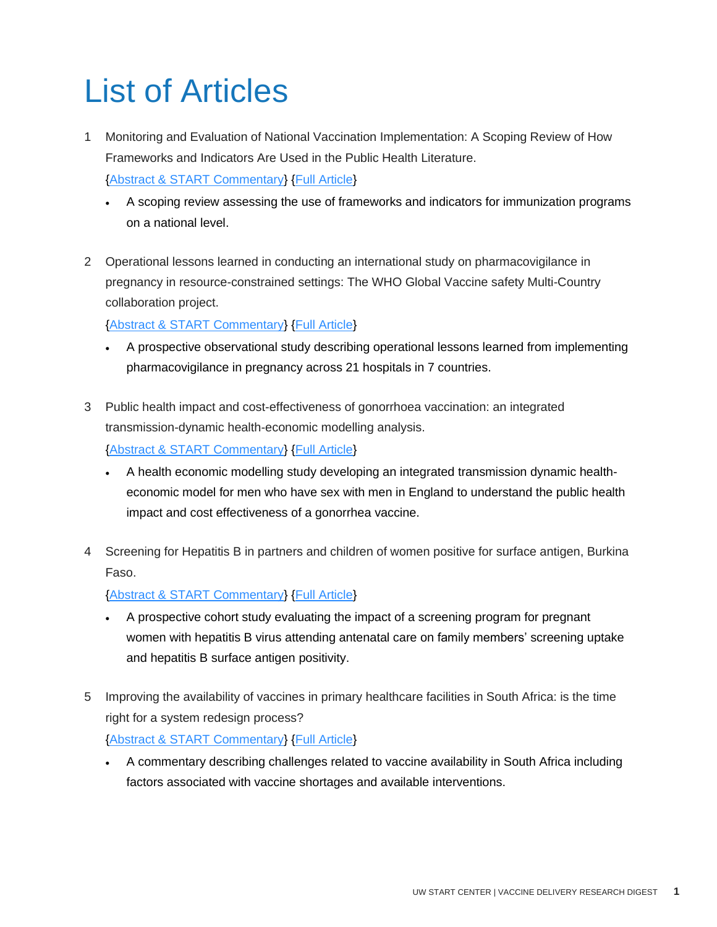# List of Articles

- 1 Monitoring and Evaluation of National Vaccination Implementation: A Scoping Review of How Frameworks and Indicators Are Used in the Public Health Literature. [{Abstract & START Commentary}](#page-3-0) [{Full Article}](http://doi.org/10.3390/vaccines10040567)
	- A scoping review assessing the use of frameworks and indicators for immunization programs on a national level.
- 2 Operational lessons learned in conducting an international study on pharmacovigilance in pregnancy in resource-constrained settings: The WHO Global Vaccine safety Multi-Country collaboration project.

#### [{Abstract & START Commentary}](#page-4-0) [{Full Article}](http://doi.org/10.1016/j.jvacx.2022.100160)

- A prospective observational study describing operational lessons learned from implementing pharmacovigilance in pregnancy across 21 hospitals in 7 countries.
- 3 Public health impact and cost-effectiveness of gonorrhoea vaccination: an integrated transmission-dynamic health-economic modelling analysis.

[{Abstract & START Commentary}](#page-6-0) [{Full Article}](http://doi.org/10.1016/S1473-3099(21)00744-1)

- A health economic modelling study developing an integrated transmission dynamic healtheconomic model for men who have sex with men in England to understand the public health impact and cost effectiveness of a gonorrhea vaccine.
- 4 Screening for Hepatitis B in partners and children of women positive for surface antigen, Burkina Faso.

#### [{Abstract & START Commentary}](#page-9-0) [{Full Article}](http://doi.org/10.2471/BLT.21.287015)

- A prospective cohort study evaluating the impact of a screening program for pregnant women with hepatitis B virus attending antenatal care on family members' screening uptake and hepatitis B surface antigen positivity.
- 5 Improving the availability of vaccines in primary healthcare facilities in South Africa: is the time right for a system redesign process? [{Abstract & START Commentary}](#page-11-0) [{Full Article}](http://doi.org/10.1080/21645515.2021.1926184)
	- A commentary describing challenges related to vaccine availability in South Africa including factors associated with vaccine shortages and available interventions.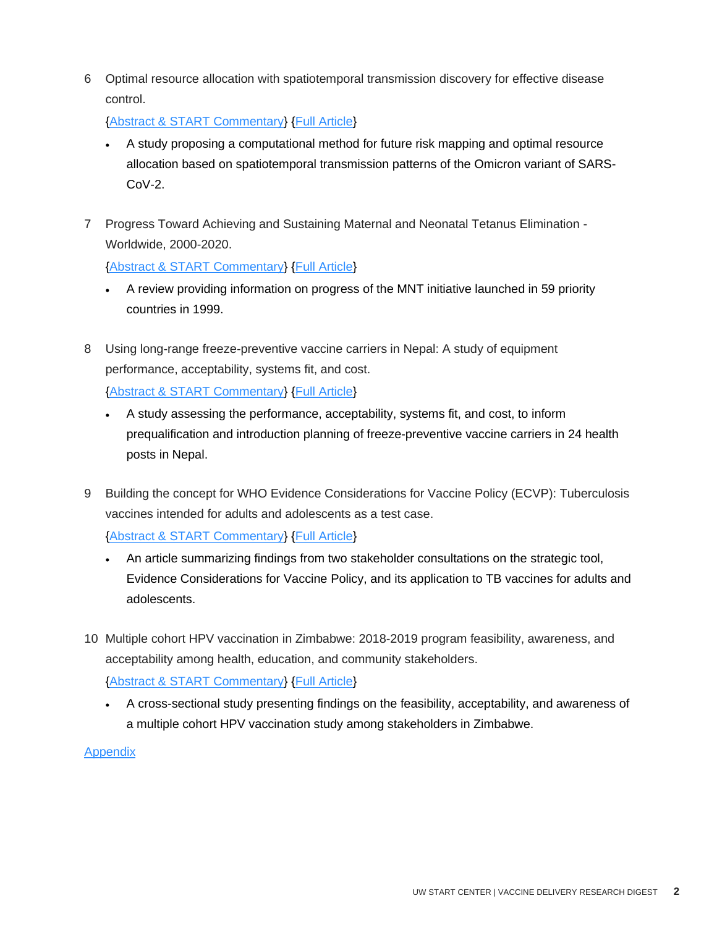6 Optimal resource allocation with spatiotemporal transmission discovery for effective disease control.

[{Abstract & START Commentary}](#page-13-0) [{Full Article}](http://doi.org/10.1186/s40249-022-00957-1)

- A study proposing a computational method for future risk mapping and optimal resource allocation based on spatiotemporal transmission patterns of the Omicron variant of SARS-CoV-2.
- 7 Progress Toward Achieving and Sustaining Maternal and Neonatal Tetanus Elimination Worldwide, 2000-2020.

[{Abstract & START Commentary}](#page-15-0) [{Full Article}](http://doi.org/10.15585/mmwr.mm7111a2)

- A review providing information on progress of the MNT initiative launched in 59 priority countries in 1999.
- 8 Using long-range freeze-preventive vaccine carriers in Nepal: A study of equipment performance, acceptability, systems fit, and cost.

[{Abstract & START Commentary}](#page-17-0) [{Full Article}](http://doi.org/10.1016/j.jvacx.2022.100146)

- A study assessing the performance, acceptability, systems fit, and cost, to inform prequalification and introduction planning of freeze-preventive vaccine carriers in 24 health posts in Nepal.
- 9 Building the concept for WHO Evidence Considerations for Vaccine Policy (ECVP): Tuberculosis vaccines intended for adults and adolescents as a test case.

[{Abstract & START Commentary}](#page-19-0) [{Full Article}](http://doi.org/10.1016/j.vaccine.2021.10.062)

- An article summarizing findings from two stakeholder consultations on the strategic tool, Evidence Considerations for Vaccine Policy, and its application to TB vaccines for adults and adolescents.
- 10 Multiple cohort HPV vaccination in Zimbabwe: 2018-2019 program feasibility, awareness, and acceptability among health, education, and community stakeholders. [{Abstract & START Commentary}](#page-21-0) [{Full Article}](http://doi.org/10.1016/j.vaccine.2021.05.074)
	- A cross-sectional study presenting findings on the feasibility, acceptability, and awareness of a multiple cohort HPV vaccination study among stakeholders in Zimbabwe.

**Appendix**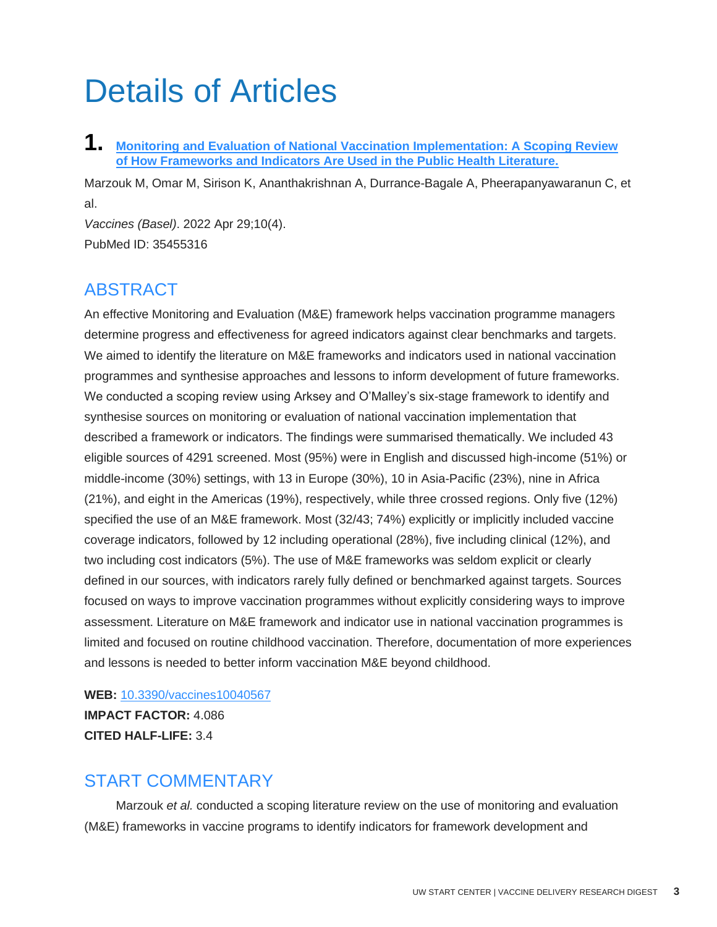## Details of Articles

<span id="page-3-0"></span>**1. [Monitoring and Evaluation of National Vaccination Implementation: A Scoping Review](http://doi.org/10.3390/vaccines10040567)  [of How Frameworks and Indicators Are Used in the Public Health Literature.](http://doi.org/10.3390/vaccines10040567)**

Marzouk M, Omar M, Sirison K, Ananthakrishnan A, Durrance-Bagale A, Pheerapanyawaranun C, et al.

*Vaccines (Basel)*. 2022 Apr 29;10(4). PubMed ID: 35455316

## ABSTRACT

An effective Monitoring and Evaluation (M&E) framework helps vaccination programme managers determine progress and effectiveness for agreed indicators against clear benchmarks and targets. We aimed to identify the literature on M&E frameworks and indicators used in national vaccination programmes and synthesise approaches and lessons to inform development of future frameworks. We conducted a scoping review using Arksey and O'Malley's six-stage framework to identify and synthesise sources on monitoring or evaluation of national vaccination implementation that described a framework or indicators. The findings were summarised thematically. We included 43 eligible sources of 4291 screened. Most (95%) were in English and discussed high-income (51%) or middle-income (30%) settings, with 13 in Europe (30%), 10 in Asia-Pacific (23%), nine in Africa (21%), and eight in the Americas (19%), respectively, while three crossed regions. Only five (12%) specified the use of an M&E framework. Most (32/43; 74%) explicitly or implicitly included vaccine coverage indicators, followed by 12 including operational (28%), five including clinical (12%), and two including cost indicators (5%). The use of M&E frameworks was seldom explicit or clearly defined in our sources, with indicators rarely fully defined or benchmarked against targets. Sources focused on ways to improve vaccination programmes without explicitly considering ways to improve assessment. Literature on M&E framework and indicator use in national vaccination programmes is limited and focused on routine childhood vaccination. Therefore, documentation of more experiences and lessons is needed to better inform vaccination M&E beyond childhood.

**WEB:** [10.3390/vaccines10040567](http://doi.org/10.3390/vaccines10040567) **IMPACT FACTOR:** 4.086 **CITED HALF-LIFE:** 3.4

## START COMMENTARY

Marzouk *et al.* conducted a scoping literature review on the use of monitoring and evaluation (M&E) frameworks in vaccine programs to identify indicators for framework development and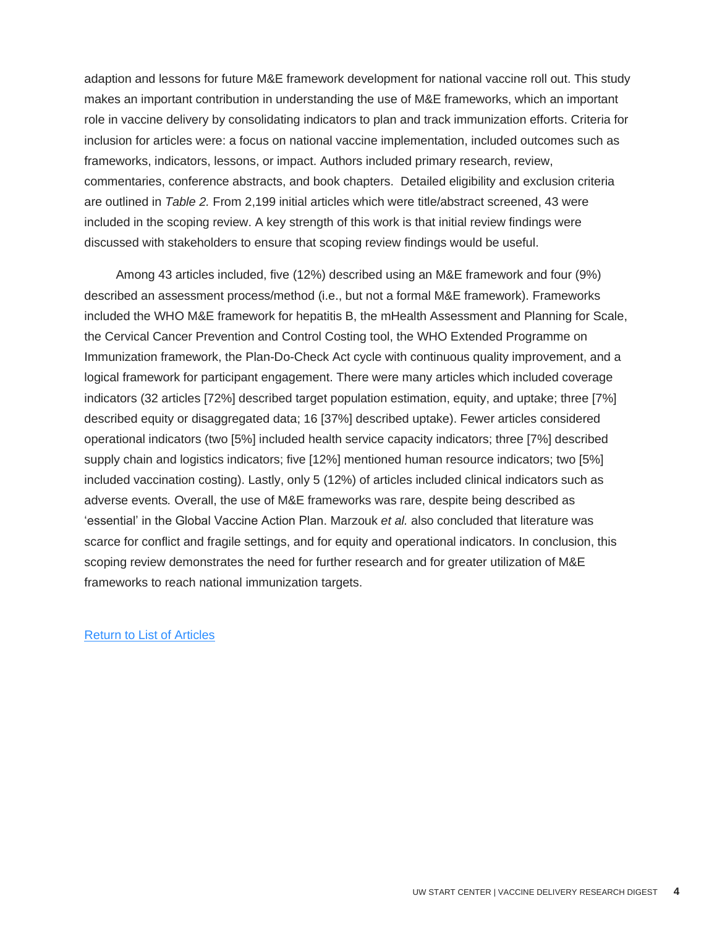adaption and lessons for future M&E framework development for national vaccine roll out. This study makes an important contribution in understanding the use of M&E frameworks, which an important role in vaccine delivery by consolidating indicators to plan and track immunization efforts. Criteria for inclusion for articles were: a focus on national vaccine implementation, included outcomes such as frameworks, indicators, lessons, or impact. Authors included primary research, review, commentaries, conference abstracts, and book chapters. Detailed eligibility and exclusion criteria are outlined in *Table 2.* From 2,199 initial articles which were title/abstract screened, 43 were included in the scoping review. A key strength of this work is that initial review findings were discussed with stakeholders to ensure that scoping review findings would be useful.

<span id="page-4-0"></span>Among 43 articles included, five (12%) described using an M&E framework and four (9%) described an assessment process/method (i.e., but not a formal M&E framework). Frameworks included the WHO M&E framework for hepatitis B, the mHealth Assessment and Planning for Scale, the Cervical Cancer Prevention and Control Costing tool, the WHO Extended Programme on Immunization framework, the Plan-Do-Check Act cycle with continuous quality improvement, and a logical framework for participant engagement. There were many articles which included coverage indicators (32 articles [72%] described target population estimation, equity, and uptake; three [7%] described equity or disaggregated data; 16 [37%] described uptake). Fewer articles considered operational indicators (two [5%] included health service capacity indicators; three [7%] described supply chain and logistics indicators; five [12%] mentioned human resource indicators; two [5%] included vaccination costing). Lastly, only 5 (12%) of articles included clinical indicators such as adverse events*.* Overall, the use of M&E frameworks was rare, despite being described as 'essential' in the Global Vaccine Action Plan. Marzouk *et al.* also concluded that literature was scarce for conflict and fragile settings, and for equity and operational indicators. In conclusion, this scoping review demonstrates the need for further research and for greater utilization of M&E frameworks to reach national immunization targets.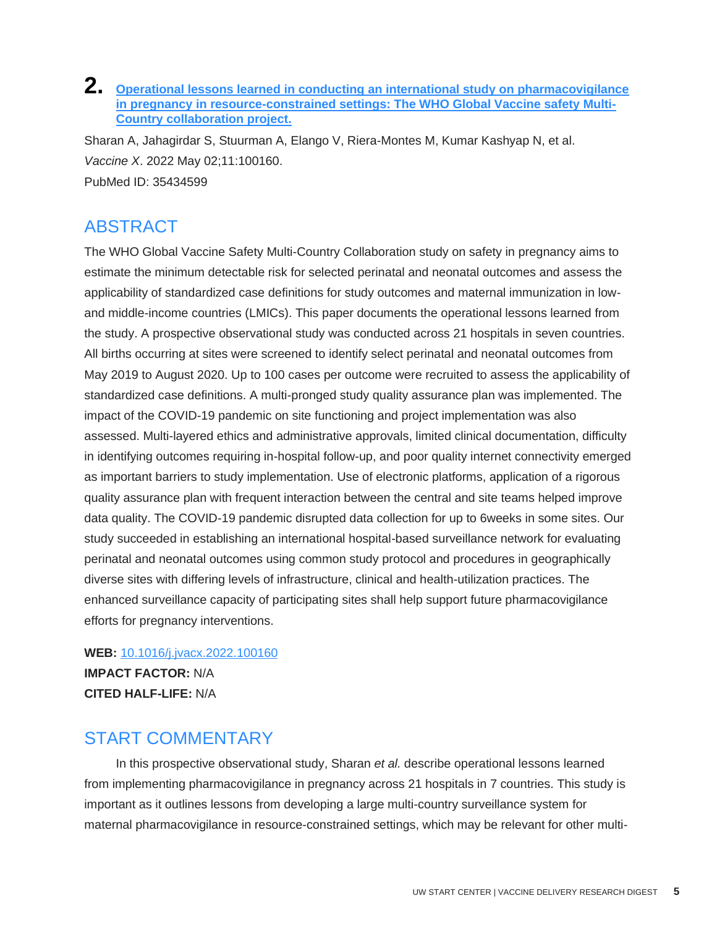#### **2. [Operational lessons learned in conducting an international study on pharmacovigilance](http://doi.org/10.1016/j.jvacx.2022.100160)  [in pregnancy in resource-constrained settings: The WHO Global Vaccine safety Multi-](http://doi.org/10.1016/j.jvacx.2022.100160)[Country collaboration project.](http://doi.org/10.1016/j.jvacx.2022.100160)**

Sharan A, Jahagirdar S, Stuurman A, Elango V, Riera-Montes M, Kumar Kashyap N, et al. *Vaccine X*. 2022 May 02;11:100160. PubMed ID: 35434599

## ABSTRACT

The WHO Global Vaccine Safety Multi-Country Collaboration study on safety in pregnancy aims to estimate the minimum detectable risk for selected perinatal and neonatal outcomes and assess the applicability of standardized case definitions for study outcomes and maternal immunization in lowand middle-income countries (LMICs). This paper documents the operational lessons learned from the study. A prospective observational study was conducted across 21 hospitals in seven countries. All births occurring at sites were screened to identify select perinatal and neonatal outcomes from May 2019 to August 2020. Up to 100 cases per outcome were recruited to assess the applicability of standardized case definitions. A multi-pronged study quality assurance plan was implemented. The impact of the COVID-19 pandemic on site functioning and project implementation was also assessed. Multi-layered ethics and administrative approvals, limited clinical documentation, difficulty in identifying outcomes requiring in-hospital follow-up, and poor quality internet connectivity emerged as important barriers to study implementation. Use of electronic platforms, application of a rigorous quality assurance plan with frequent interaction between the central and site teams helped improve data quality. The COVID-19 pandemic disrupted data collection for up to 6weeks in some sites. Our study succeeded in establishing an international hospital-based surveillance network for evaluating perinatal and neonatal outcomes using common study protocol and procedures in geographically diverse sites with differing levels of infrastructure, clinical and health-utilization practices. The enhanced surveillance capacity of participating sites shall help support future pharmacovigilance efforts for pregnancy interventions.

#### **WEB:** [10.1016/j.jvacx.2022.100160](http://doi.org/10.1016/j.jvacx.2022.100160)

**IMPACT FACTOR:** N/A **CITED HALF-LIFE:** N/A

## START COMMENTARY

In this prospective observational study, Sharan *et al.* describe operational lessons learned from implementing pharmacovigilance in pregnancy across 21 hospitals in 7 countries. This study is important as it outlines lessons from developing a large multi-country surveillance system for maternal pharmacovigilance in resource-constrained settings, which may be relevant for other multi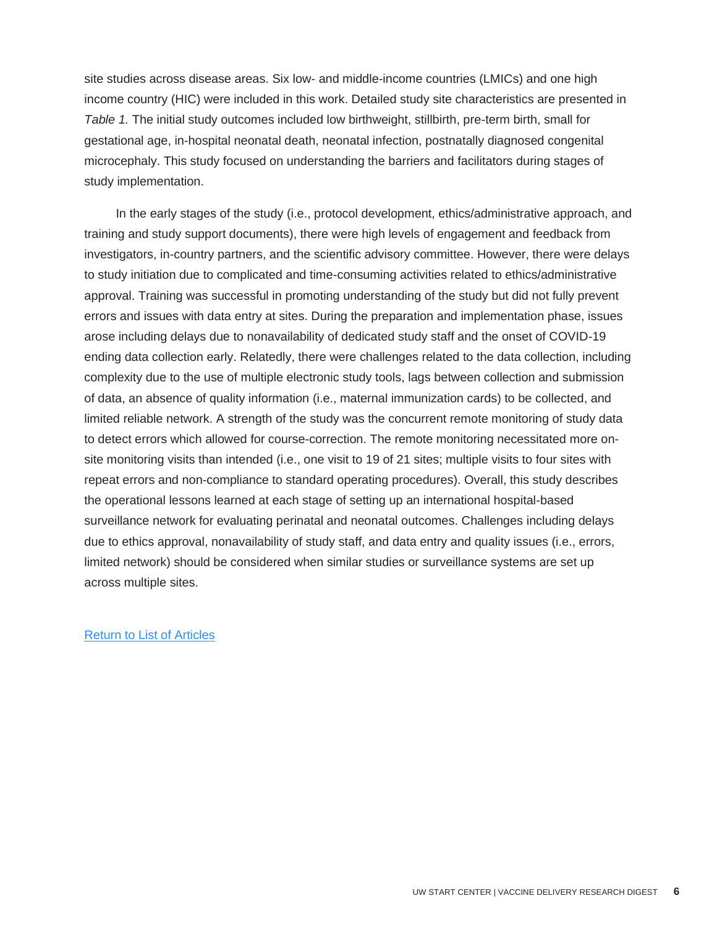site studies across disease areas. Six low- and middle-income countries (LMICs) and one high income country (HIC) were included in this work. Detailed study site characteristics are presented in *Table 1.* The initial study outcomes included low birthweight, stillbirth, pre-term birth, small for gestational age, in-hospital neonatal death, neonatal infection, postnatally diagnosed congenital microcephaly. This study focused on understanding the barriers and facilitators during stages of study implementation.

<span id="page-6-0"></span>In the early stages of the study (i.e., protocol development, ethics/administrative approach, and training and study support documents), there were high levels of engagement and feedback from investigators, in-country partners, and the scientific advisory committee. However, there were delays to study initiation due to complicated and time-consuming activities related to ethics/administrative approval. Training was successful in promoting understanding of the study but did not fully prevent errors and issues with data entry at sites. During the preparation and implementation phase, issues arose including delays due to nonavailability of dedicated study staff and the onset of COVID-19 ending data collection early. Relatedly, there were challenges related to the data collection, including complexity due to the use of multiple electronic study tools, lags between collection and submission of data, an absence of quality information (i.e., maternal immunization cards) to be collected, and limited reliable network. A strength of the study was the concurrent remote monitoring of study data to detect errors which allowed for course-correction. The remote monitoring necessitated more onsite monitoring visits than intended (i.e., one visit to 19 of 21 sites; multiple visits to four sites with repeat errors and non-compliance to standard operating procedures). Overall, this study describes the operational lessons learned at each stage of setting up an international hospital-based surveillance network for evaluating perinatal and neonatal outcomes. Challenges including delays due to ethics approval, nonavailability of study staff, and data entry and quality issues (i.e., errors, limited network) should be considered when similar studies or surveillance systems are set up across multiple sites.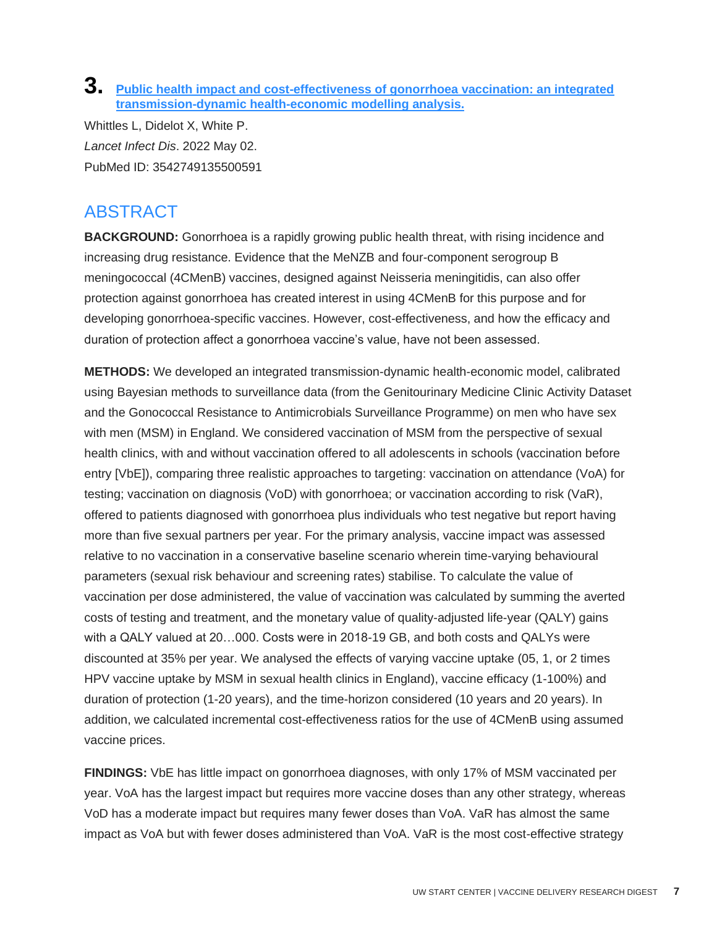#### **3. [Public health impact and cost-effectiveness of gonorrhoea vaccination: an integrated](http://doi.org/10.1016/S1473-3099(21)00744-1)  [transmission-dynamic health-economic modelling analysis.](http://doi.org/10.1016/S1473-3099(21)00744-1)**

Whittles L, Didelot X, White P. *Lancet Infect Dis*. 2022 May 02. PubMed ID: 3542749135500591

## **ABSTRACT**

**BACKGROUND:** Gonorrhoea is a rapidly growing public health threat, with rising incidence and increasing drug resistance. Evidence that the MeNZB and four-component serogroup B meningococcal (4CMenB) vaccines, designed against Neisseria meningitidis, can also offer protection against gonorrhoea has created interest in using 4CMenB for this purpose and for developing gonorrhoea-specific vaccines. However, cost-effectiveness, and how the efficacy and duration of protection affect a gonorrhoea vaccine's value, have not been assessed.

**METHODS:** We developed an integrated transmission-dynamic health-economic model, calibrated using Bayesian methods to surveillance data (from the Genitourinary Medicine Clinic Activity Dataset and the Gonococcal Resistance to Antimicrobials Surveillance Programme) on men who have sex with men (MSM) in England. We considered vaccination of MSM from the perspective of sexual health clinics, with and without vaccination offered to all adolescents in schools (vaccination before entry [VbE]), comparing three realistic approaches to targeting: vaccination on attendance (VoA) for testing; vaccination on diagnosis (VoD) with gonorrhoea; or vaccination according to risk (VaR), offered to patients diagnosed with gonorrhoea plus individuals who test negative but report having more than five sexual partners per year. For the primary analysis, vaccine impact was assessed relative to no vaccination in a conservative baseline scenario wherein time-varying behavioural parameters (sexual risk behaviour and screening rates) stabilise. To calculate the value of vaccination per dose administered, the value of vaccination was calculated by summing the averted costs of testing and treatment, and the monetary value of quality-adjusted life-year (QALY) gains with a QALY valued at 20…000. Costs were in 2018-19 GB, and both costs and QALYs were discounted at 35% per year. We analysed the effects of varying vaccine uptake (05, 1, or 2 times HPV vaccine uptake by MSM in sexual health clinics in England), vaccine efficacy (1-100%) and duration of protection (1-20 years), and the time-horizon considered (10 years and 20 years). In addition, we calculated incremental cost-effectiveness ratios for the use of 4CMenB using assumed vaccine prices.

**FINDINGS:** VbE has little impact on gonorrhoea diagnoses, with only 17% of MSM vaccinated per year. VoA has the largest impact but requires more vaccine doses than any other strategy, whereas VoD has a moderate impact but requires many fewer doses than VoA. VaR has almost the same impact as VoA but with fewer doses administered than VoA. VaR is the most cost-effective strategy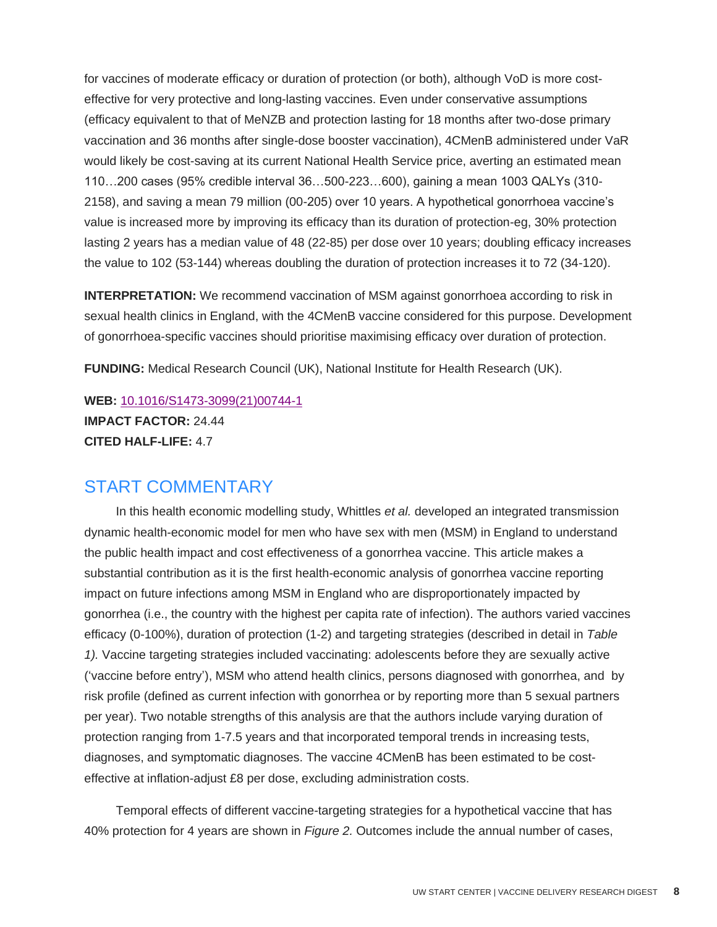for vaccines of moderate efficacy or duration of protection (or both), although VoD is more costeffective for very protective and long-lasting vaccines. Even under conservative assumptions (efficacy equivalent to that of MeNZB and protection lasting for 18 months after two-dose primary vaccination and 36 months after single-dose booster vaccination), 4CMenB administered under VaR would likely be cost-saving at its current National Health Service price, averting an estimated mean 110…200 cases (95% credible interval 36…500-223…600), gaining a mean 1003 QALYs (310- 2158), and saving a mean 79 million (00-205) over 10 years. A hypothetical gonorrhoea vaccine's value is increased more by improving its efficacy than its duration of protection-eg, 30% protection lasting 2 years has a median value of 48 (22-85) per dose over 10 years; doubling efficacy increases the value to 102 (53-144) whereas doubling the duration of protection increases it to 72 (34-120).

**INTERPRETATION:** We recommend vaccination of MSM against gonorrhoea according to risk in sexual health clinics in England, with the 4CMenB vaccine considered for this purpose. Development of gonorrhoea-specific vaccines should prioritise maximising efficacy over duration of protection.

**FUNDING:** Medical Research Council (UK), National Institute for Health Research (UK).

**WEB:** [10.1016/S1473-3099\(21\)00744-1](http://doi.org/10.1016/S1473-3099(21)00744-1) **IMPACT FACTOR:** 24.44 **CITED HALF-LIFE:** 4.7

#### START COMMENTARY

In this health economic modelling study, Whittles *et al.* developed an integrated transmission dynamic health-economic model for men who have sex with men (MSM) in England to understand the public health impact and cost effectiveness of a gonorrhea vaccine. This article makes a substantial contribution as it is the first health-economic analysis of gonorrhea vaccine reporting impact on future infections among MSM in England who are disproportionately impacted by gonorrhea (i.e., the country with the highest per capita rate of infection). The authors varied vaccines efficacy (0-100%), duration of protection (1-2) and targeting strategies (described in detail in *Table 1).* Vaccine targeting strategies included vaccinating: adolescents before they are sexually active ('vaccine before entry'), MSM who attend health clinics, persons diagnosed with gonorrhea, and by risk profile (defined as current infection with gonorrhea or by reporting more than 5 sexual partners per year). Two notable strengths of this analysis are that the authors include varying duration of protection ranging from 1-7.5 years and that incorporated temporal trends in increasing tests, diagnoses, and symptomatic diagnoses. The vaccine 4CMenB has been estimated to be costeffective at inflation-adjust £8 per dose, excluding administration costs.

Temporal effects of different vaccine-targeting strategies for a hypothetical vaccine that has 40% protection for 4 years are shown in *Figure 2.* Outcomes include the annual number of cases,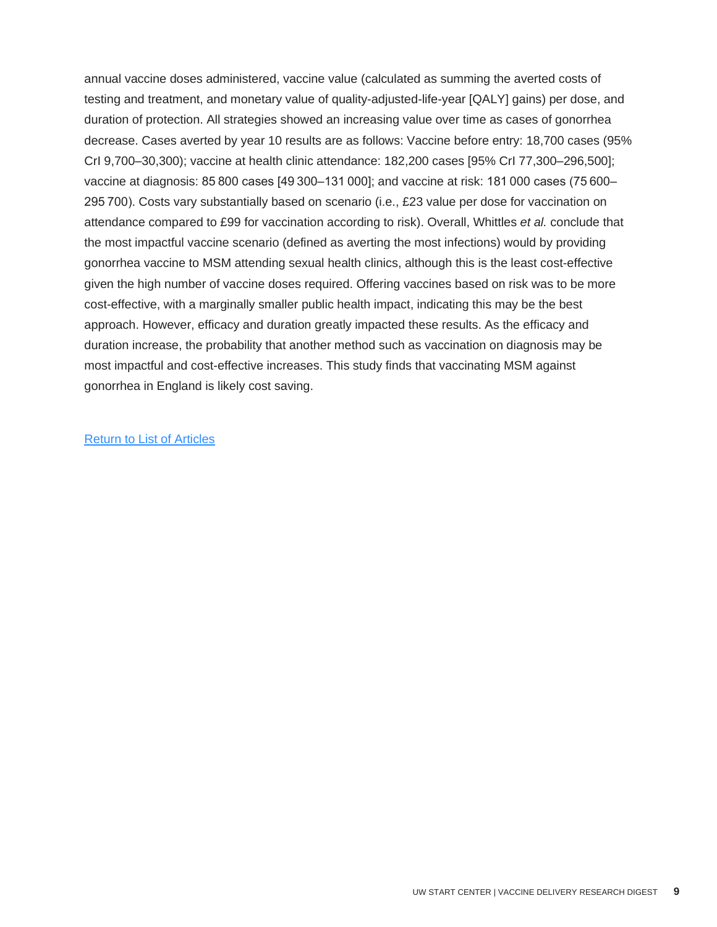<span id="page-9-0"></span>annual vaccine doses administered, vaccine value (calculated as summing the averted costs of testing and treatment, and monetary value of quality-adjusted-life-year [QALY] gains) per dose, and duration of protection. All strategies showed an increasing value over time as cases of gonorrhea decrease. Cases averted by year 10 results are as follows: Vaccine before entry: 18,700 cases (95% CrI 9,700–30,300); vaccine at health clinic attendance: 182,200 cases [95% CrI 77,300–296,500]; vaccine at diagnosis: 85 800 cases [49 300–131 000]; and vaccine at risk: 181 000 cases (75 600– 295 700). Costs vary substantially based on scenario (i.e., £23 value per dose for vaccination on attendance compared to £99 for vaccination according to risk). Overall, Whittles *et al.* conclude that the most impactful vaccine scenario (defined as averting the most infections) would by providing gonorrhea vaccine to MSM attending sexual health clinics, although this is the least cost-effective given the high number of vaccine doses required. Offering vaccines based on risk was to be more cost-effective, with a marginally smaller public health impact, indicating this may be the best approach. However, efficacy and duration greatly impacted these results. As the efficacy and duration increase, the probability that another method such as vaccination on diagnosis may be most impactful and cost-effective increases. This study finds that vaccinating MSM against gonorrhea in England is likely cost saving.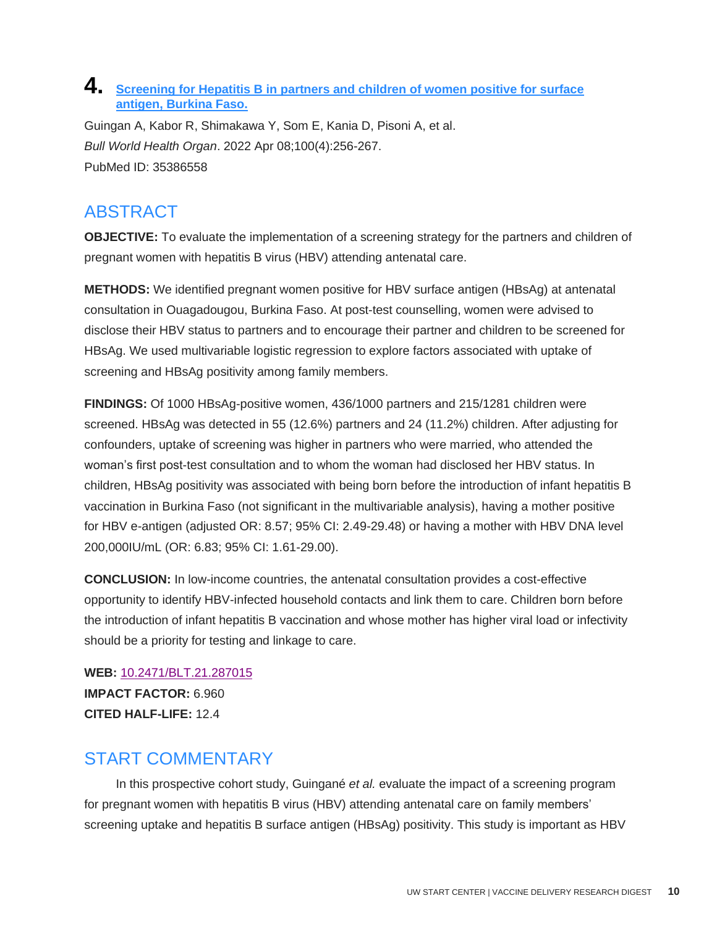#### **4. [Screening for Hepatitis B in partners and children of women positive for surface](http://doi.org/10.2471/BLT.21.287015)  [antigen, Burkina Faso.](http://doi.org/10.2471/BLT.21.287015)**

Guingan A, Kabor R, Shimakawa Y, Som E, Kania D, Pisoni A, et al. *Bull World Health Organ*. 2022 Apr 08;100(4):256-267. PubMed ID: 35386558

## ABSTRACT

**OBJECTIVE:** To evaluate the implementation of a screening strategy for the partners and children of pregnant women with hepatitis B virus (HBV) attending antenatal care.

**METHODS:** We identified pregnant women positive for HBV surface antigen (HBsAg) at antenatal consultation in Ouagadougou, Burkina Faso. At post-test counselling, women were advised to disclose their HBV status to partners and to encourage their partner and children to be screened for HBsAg. We used multivariable logistic regression to explore factors associated with uptake of screening and HBsAg positivity among family members.

**FINDINGS:** Of 1000 HBsAg-positive women, 436/1000 partners and 215/1281 children were screened. HBsAg was detected in 55 (12.6%) partners and 24 (11.2%) children. After adjusting for confounders, uptake of screening was higher in partners who were married, who attended the woman's first post-test consultation and to whom the woman had disclosed her HBV status. In children, HBsAg positivity was associated with being born before the introduction of infant hepatitis B vaccination in Burkina Faso (not significant in the multivariable analysis), having a mother positive for HBV e-antigen (adjusted OR: 8.57; 95% CI: 2.49-29.48) or having a mother with HBV DNA level 200,000IU/mL (OR: 6.83; 95% CI: 1.61-29.00).

**CONCLUSION:** In low-income countries, the antenatal consultation provides a cost-effective opportunity to identify HBV-infected household contacts and link them to care. Children born before the introduction of infant hepatitis B vaccination and whose mother has higher viral load or infectivity should be a priority for testing and linkage to care.

**WEB:** [10.2471/BLT.21.287015](http://doi.org/10.2471/BLT.21.287015) **IMPACT FACTOR:** 6.960 **CITED HALF-LIFE:** 12.4

## START COMMENTARY

In this prospective cohort study, Guingané *et al.* evaluate the impact of a screening program for pregnant women with hepatitis B virus (HBV) attending antenatal care on family members' screening uptake and hepatitis B surface antigen (HBsAg) positivity. This study is important as HBV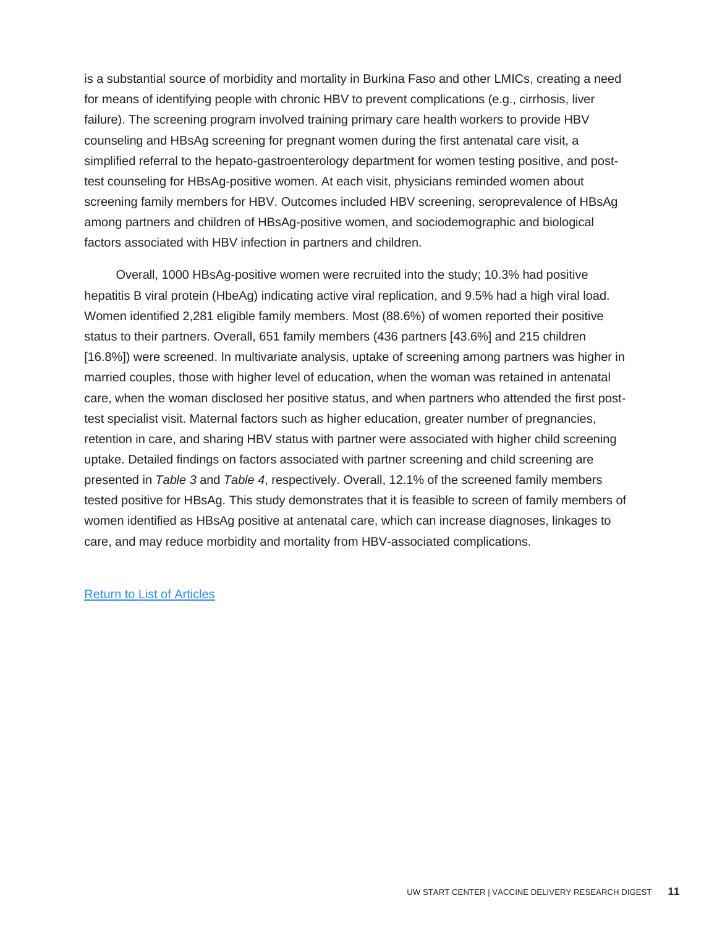is a substantial source of morbidity and mortality in Burkina Faso and other LMICs, creating a need for means of identifying people with chronic HBV to prevent complications (e.g., cirrhosis, liver failure). The screening program involved training primary care health workers to provide HBV counseling and HBsAg screening for pregnant women during the first antenatal care visit, a simplified referral to the hepato-gastroenterology department for women testing positive, and posttest counseling for HBsAg-positive women. At each visit, physicians reminded women about screening family members for HBV. Outcomes included HBV screening, seroprevalence of HBsAg among partners and children of HBsAg-positive women, and sociodemographic and biological factors associated with HBV infection in partners and children.

<span id="page-11-0"></span>Overall, 1000 HBsAg-positive women were recruited into the study; 10.3% had positive hepatitis B viral protein (HbeAg) indicating active viral replication, and 9.5% had a high viral load. Women identified 2,281 eligible family members. Most (88.6%) of women reported their positive status to their partners. Overall, 651 family members (436 partners [43.6%] and 215 children [16.8%]) were screened. In multivariate analysis, uptake of screening among partners was higher in married couples, those with higher level of education, when the woman was retained in antenatal care, when the woman disclosed her positive status, and when partners who attended the first posttest specialist visit. Maternal factors such as higher education, greater number of pregnancies, retention in care, and sharing HBV status with partner were associated with higher child screening uptake. Detailed findings on factors associated with partner screening and child screening are presented in *Table 3* and *Table 4*, respectively. Overall, 12.1% of the screened family members tested positive for HBsAg. This study demonstrates that it is feasible to screen of family members of women identified as HBsAg positive at antenatal care, which can increase diagnoses, linkages to care, and may reduce morbidity and mortality from HBV-associated complications.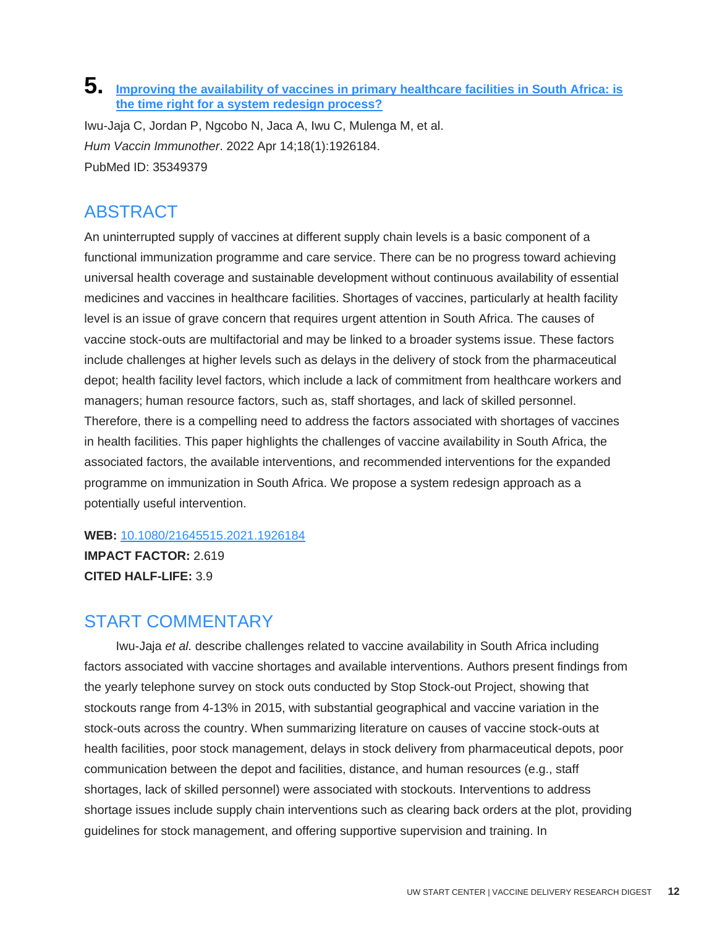#### **5. [Improving the availability of vaccines in primary healthcare facilities in South Africa: is](http://doi.org/10.1080/21645515.2021.1926184)  [the time right for a system redesign process?](http://doi.org/10.1080/21645515.2021.1926184)**

Iwu-Jaja C, Jordan P, Ngcobo N, Jaca A, Iwu C, Mulenga M, et al. *Hum Vaccin Immunother*. 2022 Apr 14;18(1):1926184. PubMed ID: 35349379

## ABSTRACT

An uninterrupted supply of vaccines at different supply chain levels is a basic component of a functional immunization programme and care service. There can be no progress toward achieving universal health coverage and sustainable development without continuous availability of essential medicines and vaccines in healthcare facilities. Shortages of vaccines, particularly at health facility level is an issue of grave concern that requires urgent attention in South Africa. The causes of vaccine stock-outs are multifactorial and may be linked to a broader systems issue. These factors include challenges at higher levels such as delays in the delivery of stock from the pharmaceutical depot; health facility level factors, which include a lack of commitment from healthcare workers and managers; human resource factors, such as, staff shortages, and lack of skilled personnel. Therefore, there is a compelling need to address the factors associated with shortages of vaccines in health facilities. This paper highlights the challenges of vaccine availability in South Africa, the associated factors, the available interventions, and recommended interventions for the expanded programme on immunization in South Africa. We propose a system redesign approach as a potentially useful intervention.

#### **WEB:** [10.1080/21645515.2021.1926184](http://doi.org/10.1080/21645515.2021.1926184)

**IMPACT FACTOR:** 2.619 **CITED HALF-LIFE:** 3.9

### START COMMENTARY

Iwu-Jaja *et al.* describe challenges related to vaccine availability in South Africa including factors associated with vaccine shortages and available interventions. Authors present findings from the yearly telephone survey on stock outs conducted by Stop Stock-out Project, showing that stockouts range from 4-13% in 2015, with substantial geographical and vaccine variation in the stock-outs across the country. When summarizing literature on causes of vaccine stock-outs at health facilities, poor stock management, delays in stock delivery from pharmaceutical depots, poor communication between the depot and facilities, distance, and human resources (e.g., staff shortages, lack of skilled personnel) were associated with stockouts. Interventions to address shortage issues include supply chain interventions such as clearing back orders at the plot, providing guidelines for stock management, and offering supportive supervision and training. In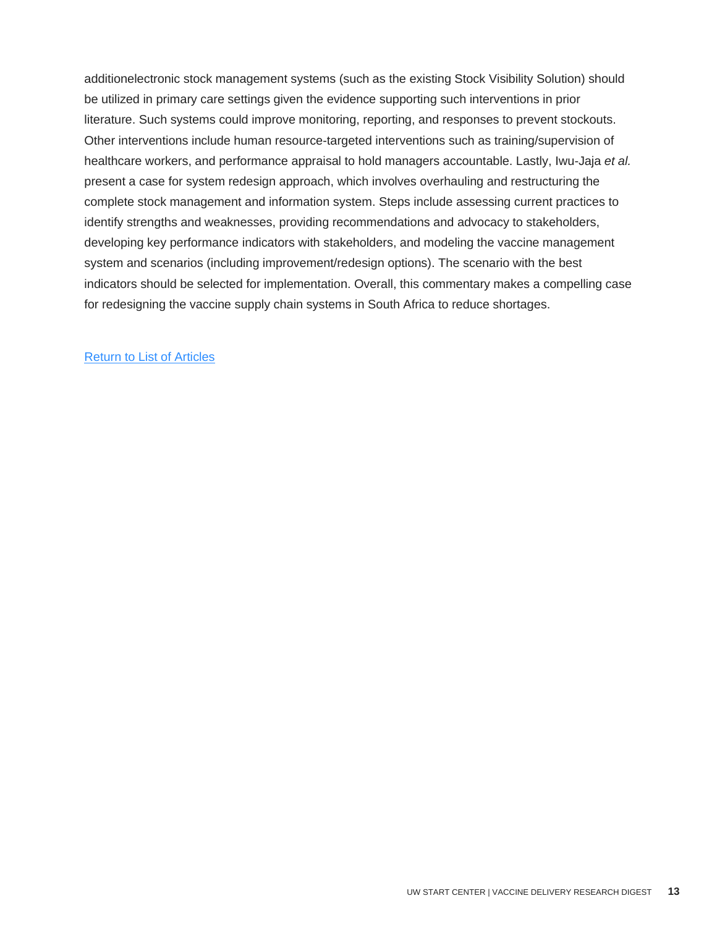<span id="page-13-0"></span>additionelectronic stock management systems (such as the existing Stock Visibility Solution) should be utilized in primary care settings given the evidence supporting such interventions in prior literature. Such systems could improve monitoring, reporting, and responses to prevent stockouts. Other interventions include human resource-targeted interventions such as training/supervision of healthcare workers, and performance appraisal to hold managers accountable. Lastly, Iwu-Jaja *et al.*  present a case for system redesign approach, which involves overhauling and restructuring the complete stock management and information system. Steps include assessing current practices to identify strengths and weaknesses, providing recommendations and advocacy to stakeholders, developing key performance indicators with stakeholders, and modeling the vaccine management system and scenarios (including improvement/redesign options). The scenario with the best indicators should be selected for implementation. Overall, this commentary makes a compelling case for redesigning the vaccine supply chain systems in South Africa to reduce shortages.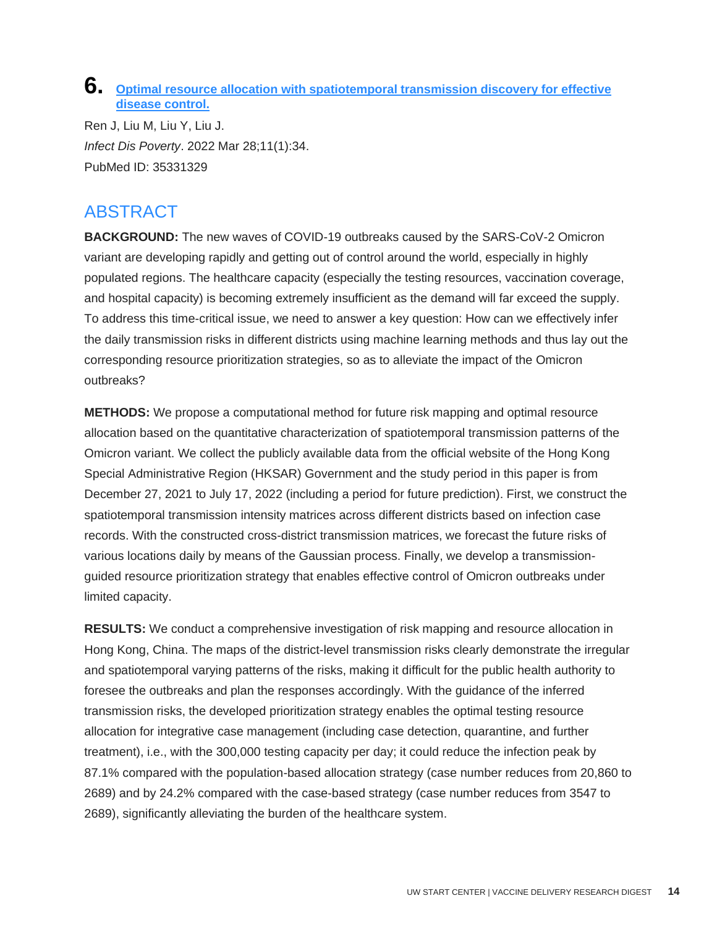#### **6. [Optimal resource allocation with spatiotemporal transmission discovery for effective](http://doi.org/10.1186/s40249-022-00957-1)  [disease control.](http://doi.org/10.1186/s40249-022-00957-1)**

Ren J, Liu M, Liu Y, Liu J. *Infect Dis Poverty*. 2022 Mar 28;11(1):34. PubMed ID: 35331329

## **ABSTRACT**

**BACKGROUND:** The new waves of COVID-19 outbreaks caused by the SARS-CoV-2 Omicron variant are developing rapidly and getting out of control around the world, especially in highly populated regions. The healthcare capacity (especially the testing resources, vaccination coverage, and hospital capacity) is becoming extremely insufficient as the demand will far exceed the supply. To address this time-critical issue, we need to answer a key question: How can we effectively infer the daily transmission risks in different districts using machine learning methods and thus lay out the corresponding resource prioritization strategies, so as to alleviate the impact of the Omicron outbreaks?

**METHODS:** We propose a computational method for future risk mapping and optimal resource allocation based on the quantitative characterization of spatiotemporal transmission patterns of the Omicron variant. We collect the publicly available data from the official website of the Hong Kong Special Administrative Region (HKSAR) Government and the study period in this paper is from December 27, 2021 to July 17, 2022 (including a period for future prediction). First, we construct the spatiotemporal transmission intensity matrices across different districts based on infection case records. With the constructed cross-district transmission matrices, we forecast the future risks of various locations daily by means of the Gaussian process. Finally, we develop a transmissionguided resource prioritization strategy that enables effective control of Omicron outbreaks under limited capacity.

**RESULTS:** We conduct a comprehensive investigation of risk mapping and resource allocation in Hong Kong, China. The maps of the district-level transmission risks clearly demonstrate the irregular and spatiotemporal varying patterns of the risks, making it difficult for the public health authority to foresee the outbreaks and plan the responses accordingly. With the guidance of the inferred transmission risks, the developed prioritization strategy enables the optimal testing resource allocation for integrative case management (including case detection, quarantine, and further treatment), i.e., with the 300,000 testing capacity per day; it could reduce the infection peak by 87.1% compared with the population-based allocation strategy (case number reduces from 20,860 to 2689) and by 24.2% compared with the case-based strategy (case number reduces from 3547 to 2689), significantly alleviating the burden of the healthcare system.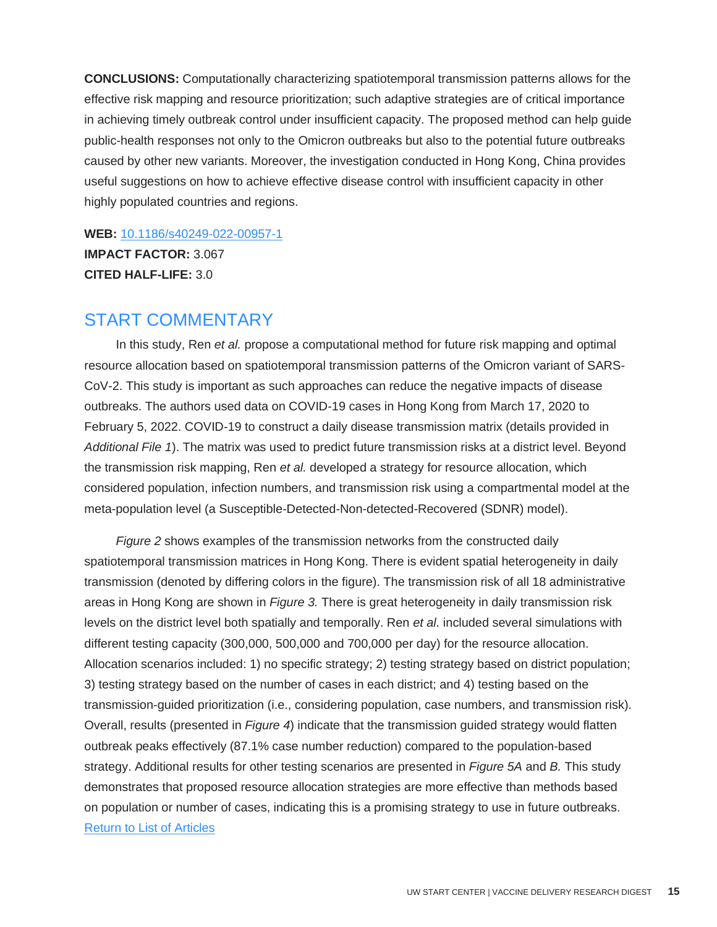**CONCLUSIONS:** Computationally characterizing spatiotemporal transmission patterns allows for the effective risk mapping and resource prioritization; such adaptive strategies are of critical importance in achieving timely outbreak control under insufficient capacity. The proposed method can help guide public-health responses not only to the Omicron outbreaks but also to the potential future outbreaks caused by other new variants. Moreover, the investigation conducted in Hong Kong, China provides useful suggestions on how to achieve effective disease control with insufficient capacity in other highly populated countries and regions.

**WEB:** [10.1186/s40249-022-00957-1](http://doi.org/10.1186/s40249-022-00957-1) **IMPACT FACTOR:** 3.067 **CITED HALF-LIFE:** 3.0

#### START COMMENTARY

In this study, Ren *et al.* propose a computational method for future risk mapping and optimal resource allocation based on spatiotemporal transmission patterns of the Omicron variant of SARS-CoV-2. This study is important as such approaches can reduce the negative impacts of disease outbreaks. The authors used data on COVID-19 cases in Hong Kong from March 17, 2020 to February 5, 2022. COVID-19 to construct a daily disease transmission matrix (details provided in *Additional File 1*). The matrix was used to predict future transmission risks at a district level. Beyond the transmission risk mapping, Ren *et al.* developed a strategy for resource allocation, which considered population, infection numbers, and transmission risk using a compartmental model at the meta-population level (a Susceptible-Detected-Non-detected-Recovered (SDNR) model).

<span id="page-15-0"></span>*Figure 2* shows examples of the transmission networks from the constructed daily spatiotemporal transmission matrices in Hong Kong. There is evident spatial heterogeneity in daily transmission (denoted by differing colors in the figure). The transmission risk of all 18 administrative areas in Hong Kong are shown in *Figure 3.* There is great heterogeneity in daily transmission risk levels on the district level both spatially and temporally. Ren *et al.* included several simulations with different testing capacity (300,000, 500,000 and 700,000 per day) for the resource allocation. Allocation scenarios included: 1) no specific strategy; 2) testing strategy based on district population; 3) testing strategy based on the number of cases in each district; and 4) testing based on the transmission-guided prioritization (i.e., considering population, case numbers, and transmission risk). Overall, results (presented in *Figure 4*) indicate that the transmission guided strategy would flatten outbreak peaks effectively (87.1% case number reduction) compared to the population-based strategy. Additional results for other testing scenarios are presented in *Figure 5A* and *B.* This study demonstrates that proposed resource allocation strategies are more effective than methods based on population or number of cases, indicating this is a promising strategy to use in future outbreaks. Return to List of Articles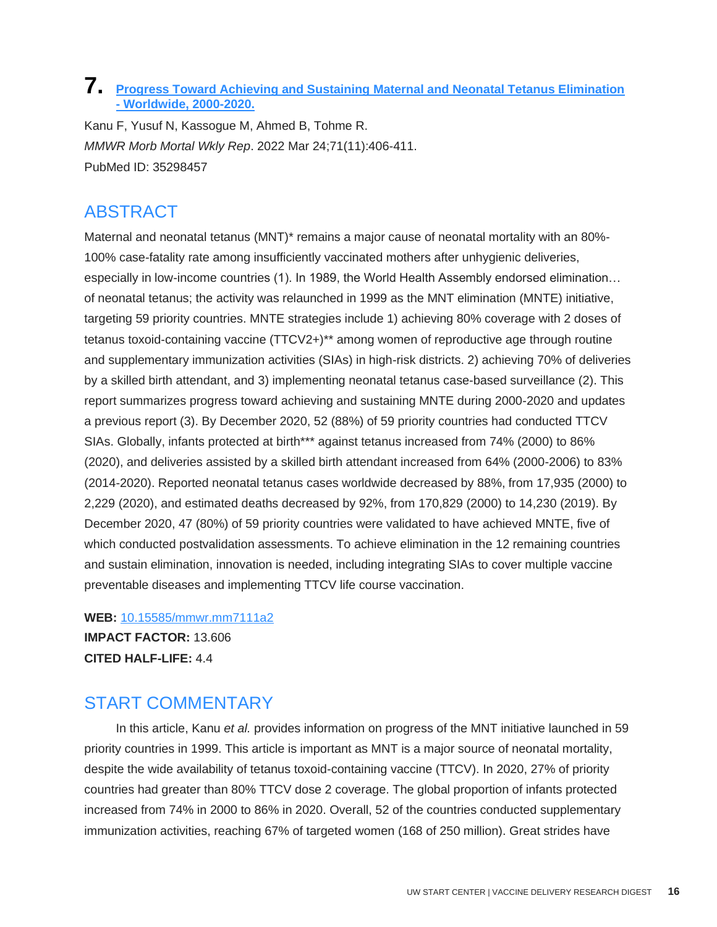#### **7. [Progress Toward Achieving and Sustaining Maternal and Neonatal Tetanus Elimination](http://doi.org/10.15585/mmwr.mm7111a2)  - [Worldwide, 2000-2020.](http://doi.org/10.15585/mmwr.mm7111a2)**

Kanu F, Yusuf N, Kassogue M, Ahmed B, Tohme R. *MMWR Morb Mortal Wkly Rep*. 2022 Mar 24;71(11):406-411. PubMed ID: 35298457

## ABSTRACT

Maternal and neonatal tetanus (MNT)<sup>\*</sup> remains a major cause of neonatal mortality with an 80%-100% case-fatality rate among insufficiently vaccinated mothers after unhygienic deliveries, especially in low-income countries (1). In 1989, the World Health Assembly endorsed elimination… of neonatal tetanus; the activity was relaunched in 1999 as the MNT elimination (MNTE) initiative, targeting 59 priority countries. MNTE strategies include 1) achieving 80% coverage with 2 doses of tetanus toxoid-containing vaccine (TTCV2+)\*\* among women of reproductive age through routine and supplementary immunization activities (SIAs) in high-risk districts. 2) achieving 70% of deliveries by a skilled birth attendant, and 3) implementing neonatal tetanus case-based surveillance (2). This report summarizes progress toward achieving and sustaining MNTE during 2000-2020 and updates a previous report (3). By December 2020, 52 (88%) of 59 priority countries had conducted TTCV SIAs. Globally, infants protected at birth\*\*\* against tetanus increased from 74% (2000) to 86% (2020), and deliveries assisted by a skilled birth attendant increased from 64% (2000-2006) to 83% (2014-2020). Reported neonatal tetanus cases worldwide decreased by 88%, from 17,935 (2000) to 2,229 (2020), and estimated deaths decreased by 92%, from 170,829 (2000) to 14,230 (2019). By December 2020, 47 (80%) of 59 priority countries were validated to have achieved MNTE, five of which conducted postvalidation assessments. To achieve elimination in the 12 remaining countries and sustain elimination, innovation is needed, including integrating SIAs to cover multiple vaccine preventable diseases and implementing TTCV life course vaccination.

**WEB:** [10.15585/mmwr.mm7111a2](http://doi.org/10.15585/mmwr.mm7111a2) **IMPACT FACTOR:** 13.606 **CITED HALF-LIFE:** 4.4

## START COMMENTARY

In this article, Kanu *et al.* provides information on progress of the MNT initiative launched in 59 priority countries in 1999. This article is important as MNT is a major source of neonatal mortality, despite the wide availability of tetanus toxoid-containing vaccine (TTCV). In 2020, 27% of priority countries had greater than 80% TTCV dose 2 coverage. The global proportion of infants protected increased from 74% in 2000 to 86% in 2020. Overall, 52 of the countries conducted supplementary immunization activities, reaching 67% of targeted women (168 of 250 million). Great strides have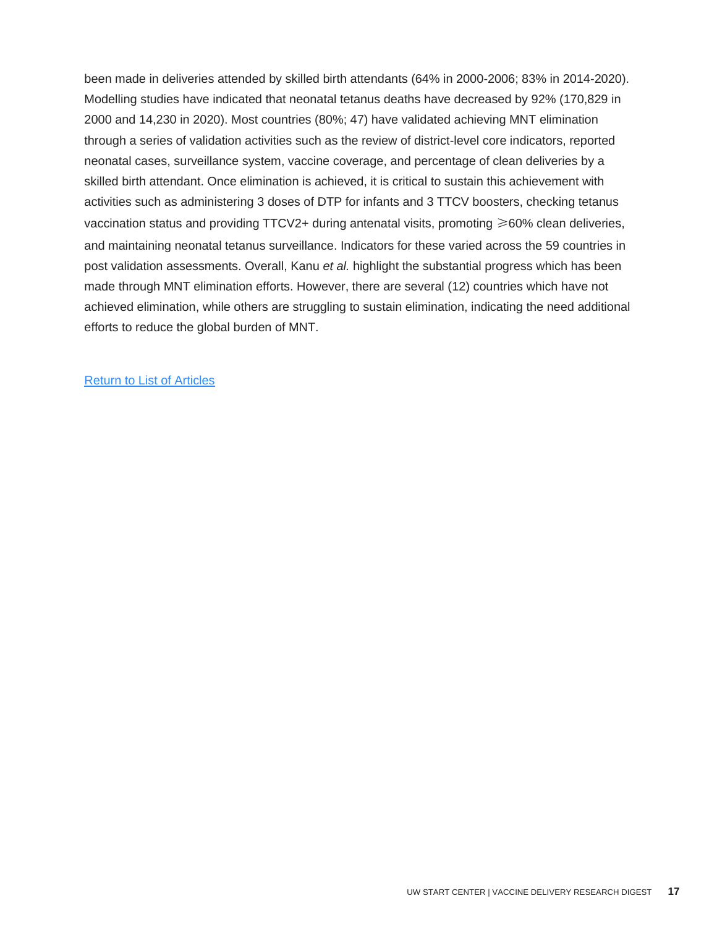<span id="page-17-0"></span>been made in deliveries attended by skilled birth attendants (64% in 2000-2006; 83% in 2014-2020). Modelling studies have indicated that neonatal tetanus deaths have decreased by 92% (170,829 in 2000 and 14,230 in 2020). Most countries (80%; 47) have validated achieving MNT elimination through a series of validation activities such as the review of district-level core indicators, reported neonatal cases, surveillance system, vaccine coverage, and percentage of clean deliveries by a skilled birth attendant. Once elimination is achieved, it is critical to sustain this achievement with activities such as administering 3 doses of DTP for infants and 3 TTCV boosters, checking tetanus vaccination status and providing TTCV2+ during antenatal visits, promoting ≥60% clean deliveries, and maintaining neonatal tetanus surveillance. Indicators for these varied across the 59 countries in post validation assessments. Overall, Kanu *et al.* highlight the substantial progress which has been made through MNT elimination efforts. However, there are several (12) countries which have not achieved elimination, while others are struggling to sustain elimination, indicating the need additional efforts to reduce the global burden of MNT.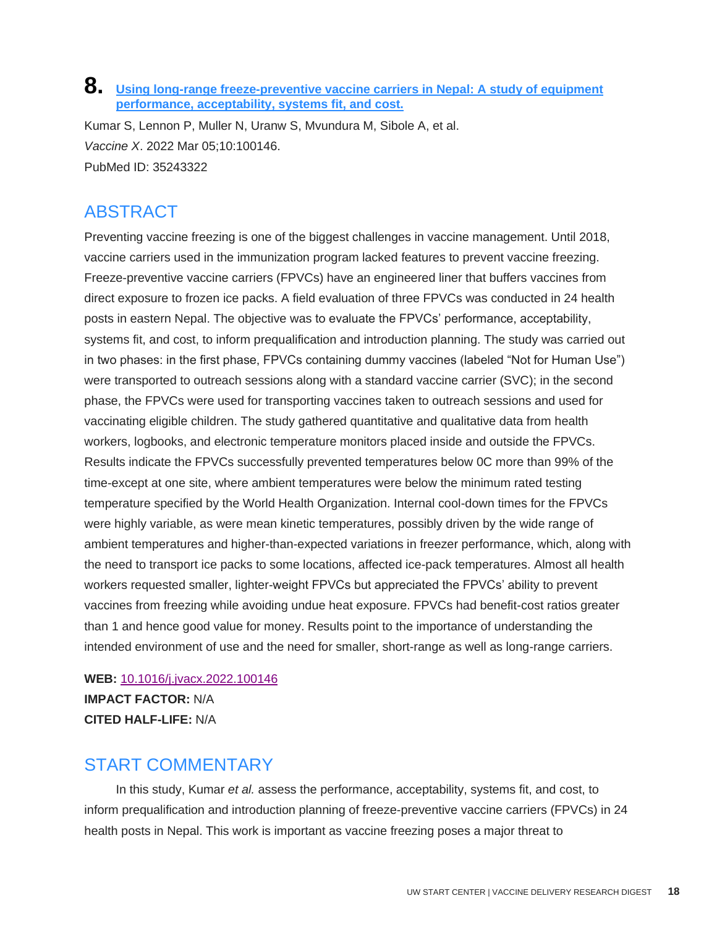#### **8. [Using long-range freeze-preventive vaccine carriers in Nepal: A study of equipment](http://doi.org/10.1016/j.jvacx.2022.100146)  [performance, acceptability, systems fit, and cost.](http://doi.org/10.1016/j.jvacx.2022.100146)**

Kumar S, Lennon P, Muller N, Uranw S, Mvundura M, Sibole A, et al. *Vaccine X*. 2022 Mar 05;10:100146. PubMed ID: 35243322

## **ABSTRACT**

Preventing vaccine freezing is one of the biggest challenges in vaccine management. Until 2018, vaccine carriers used in the immunization program lacked features to prevent vaccine freezing. Freeze-preventive vaccine carriers (FPVCs) have an engineered liner that buffers vaccines from direct exposure to frozen ice packs. A field evaluation of three FPVCs was conducted in 24 health posts in eastern Nepal. The objective was to evaluate the FPVCs' performance, acceptability, systems fit, and cost, to inform prequalification and introduction planning. The study was carried out in two phases: in the first phase, FPVCs containing dummy vaccines (labeled "Not for Human Use") were transported to outreach sessions along with a standard vaccine carrier (SVC); in the second phase, the FPVCs were used for transporting vaccines taken to outreach sessions and used for vaccinating eligible children. The study gathered quantitative and qualitative data from health workers, logbooks, and electronic temperature monitors placed inside and outside the FPVCs. Results indicate the FPVCs successfully prevented temperatures below 0C more than 99% of the time-except at one site, where ambient temperatures were below the minimum rated testing temperature specified by the World Health Organization. Internal cool-down times for the FPVCs were highly variable, as were mean kinetic temperatures, possibly driven by the wide range of ambient temperatures and higher-than-expected variations in freezer performance, which, along with the need to transport ice packs to some locations, affected ice-pack temperatures. Almost all health workers requested smaller, lighter-weight FPVCs but appreciated the FPVCs' ability to prevent vaccines from freezing while avoiding undue heat exposure. FPVCs had benefit-cost ratios greater than 1 and hence good value for money. Results point to the importance of understanding the intended environment of use and the need for smaller, short-range as well as long-range carriers.

#### **WEB:** [10.1016/j.jvacx.2022.100146](http://doi.org/10.1016/j.jvacx.2022.100146) **IMPACT FACTOR:** N/A **CITED HALF-LIFE:** N/A

## START COMMENTARY

In this study, Kumar *et al.* assess the performance, acceptability, systems fit, and cost, to inform prequalification and introduction planning of freeze-preventive vaccine carriers (FPVCs) in 24 health posts in Nepal. This work is important as vaccine freezing poses a major threat to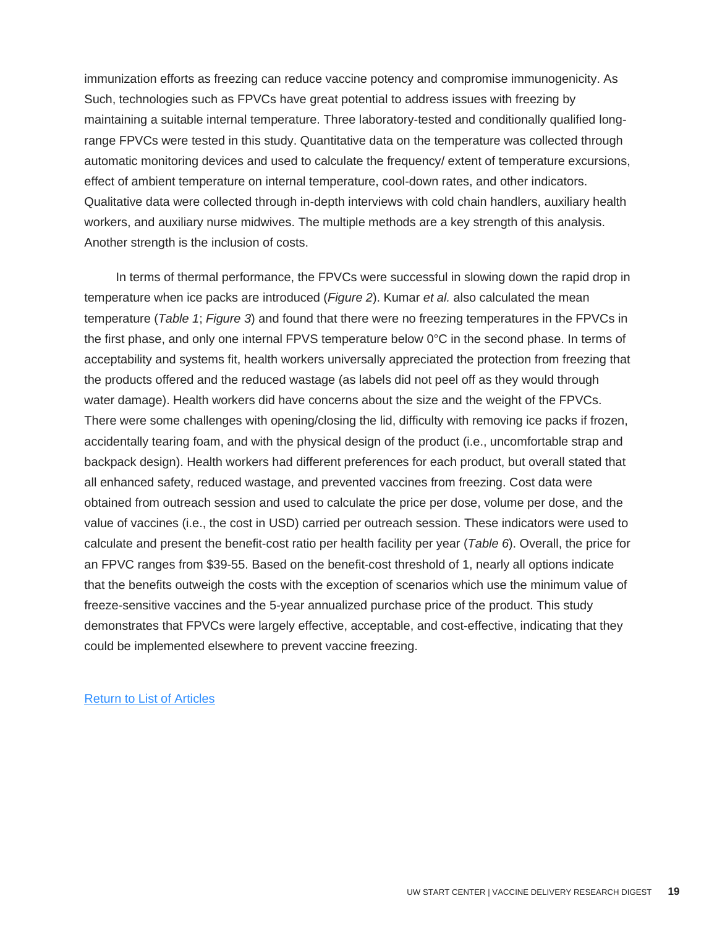immunization efforts as freezing can reduce vaccine potency and compromise immunogenicity. As Such, technologies such as FPVCs have great potential to address issues with freezing by maintaining a suitable internal temperature. Three laboratory-tested and conditionally qualified longrange FPVCs were tested in this study. Quantitative data on the temperature was collected through automatic monitoring devices and used to calculate the frequency/ extent of temperature excursions, effect of ambient temperature on internal temperature, cool-down rates, and other indicators. Qualitative data were collected through in-depth interviews with cold chain handlers, auxiliary health workers, and auxiliary nurse midwives. The multiple methods are a key strength of this analysis. Another strength is the inclusion of costs.

<span id="page-19-0"></span>In terms of thermal performance, the FPVCs were successful in slowing down the rapid drop in temperature when ice packs are introduced (*Figure 2*). Kumar *et al.* also calculated the mean temperature (*Table 1*; *Figure 3*) and found that there were no freezing temperatures in the FPVCs in the first phase, and only one internal FPVS temperature below 0°C in the second phase. In terms of acceptability and systems fit, health workers universally appreciated the protection from freezing that the products offered and the reduced wastage (as labels did not peel off as they would through water damage). Health workers did have concerns about the size and the weight of the FPVCs. There were some challenges with opening/closing the lid, difficulty with removing ice packs if frozen, accidentally tearing foam, and with the physical design of the product (i.e., uncomfortable strap and backpack design). Health workers had different preferences for each product, but overall stated that all enhanced safety, reduced wastage, and prevented vaccines from freezing. Cost data were obtained from outreach session and used to calculate the price per dose, volume per dose, and the value of vaccines (i.e., the cost in USD) carried per outreach session. These indicators were used to calculate and present the benefit-cost ratio per health facility per year (*Table 6*). Overall, the price for an FPVC ranges from \$39-55. Based on the benefit-cost threshold of 1, nearly all options indicate that the benefits outweigh the costs with the exception of scenarios which use the minimum value of freeze-sensitive vaccines and the 5-year annualized purchase price of the product. This study demonstrates that FPVCs were largely effective, acceptable, and cost-effective, indicating that they could be implemented elsewhere to prevent vaccine freezing.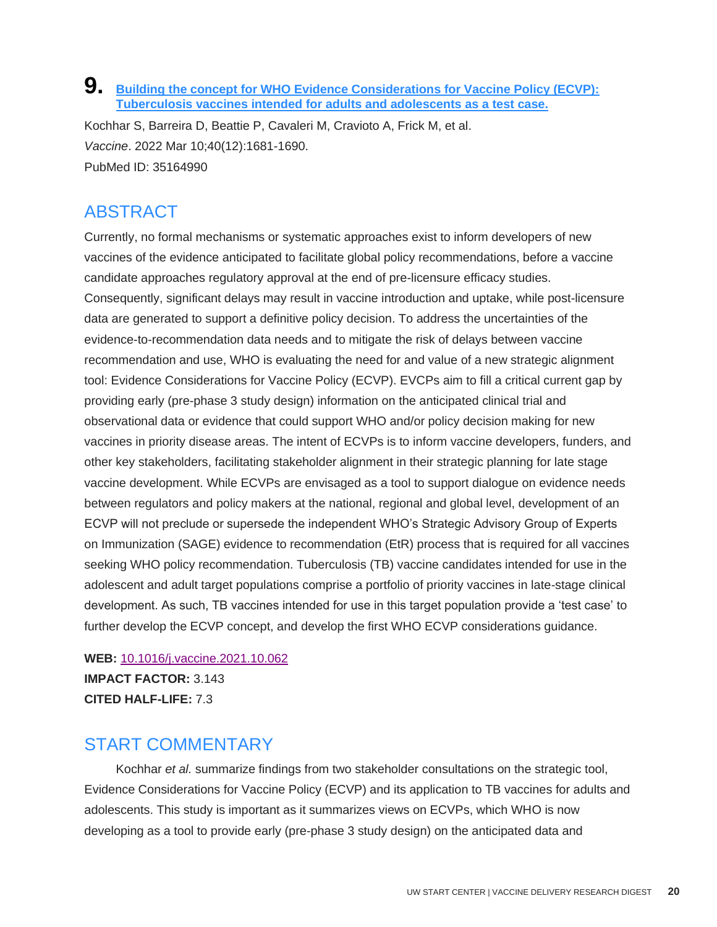#### **9. [Building the concept for WHO Evidence Considerations for Vaccine Policy \(ECVP\):](http://doi.org/10.1016/j.vaccine.2021.10.062)  [Tuberculosis vaccines intended for adults and adolescents as a test case.](http://doi.org/10.1016/j.vaccine.2021.10.062)**

Kochhar S, Barreira D, Beattie P, Cavaleri M, Cravioto A, Frick M, et al. *Vaccine*. 2022 Mar 10;40(12):1681-1690. PubMed ID: 35164990

## **ABSTRACT**

Currently, no formal mechanisms or systematic approaches exist to inform developers of new vaccines of the evidence anticipated to facilitate global policy recommendations, before a vaccine candidate approaches regulatory approval at the end of pre-licensure efficacy studies. Consequently, significant delays may result in vaccine introduction and uptake, while post-licensure data are generated to support a definitive policy decision. To address the uncertainties of the evidence-to-recommendation data needs and to mitigate the risk of delays between vaccine recommendation and use, WHO is evaluating the need for and value of a new strategic alignment tool: Evidence Considerations for Vaccine Policy (ECVP). EVCPs aim to fill a critical current gap by providing early (pre-phase 3 study design) information on the anticipated clinical trial and observational data or evidence that could support WHO and/or policy decision making for new vaccines in priority disease areas. The intent of ECVPs is to inform vaccine developers, funders, and other key stakeholders, facilitating stakeholder alignment in their strategic planning for late stage vaccine development. While ECVPs are envisaged as a tool to support dialogue on evidence needs between regulators and policy makers at the national, regional and global level, development of an ECVP will not preclude or supersede the independent WHO's Strategic Advisory Group of Experts on Immunization (SAGE) evidence to recommendation (EtR) process that is required for all vaccines seeking WHO policy recommendation. Tuberculosis (TB) vaccine candidates intended for use in the adolescent and adult target populations comprise a portfolio of priority vaccines in late-stage clinical development. As such, TB vaccines intended for use in this target population provide a 'test case' to further develop the ECVP concept, and develop the first WHO ECVP considerations guidance.

#### **WEB:** [10.1016/j.vaccine.2021.10.062](http://doi.org/10.1016/j.vaccine.2021.10.062) **IMPACT FACTOR:** 3.143

**CITED HALF-LIFE:** 7.3

## START COMMENTARY

Kochhar *et al.* summarize findings from two stakeholder consultations on the strategic tool, Evidence Considerations for Vaccine Policy (ECVP) and its application to TB vaccines for adults and adolescents. This study is important as it summarizes views on ECVPs, which WHO is now developing as a tool to provide early (pre-phase 3 study design) on the anticipated data and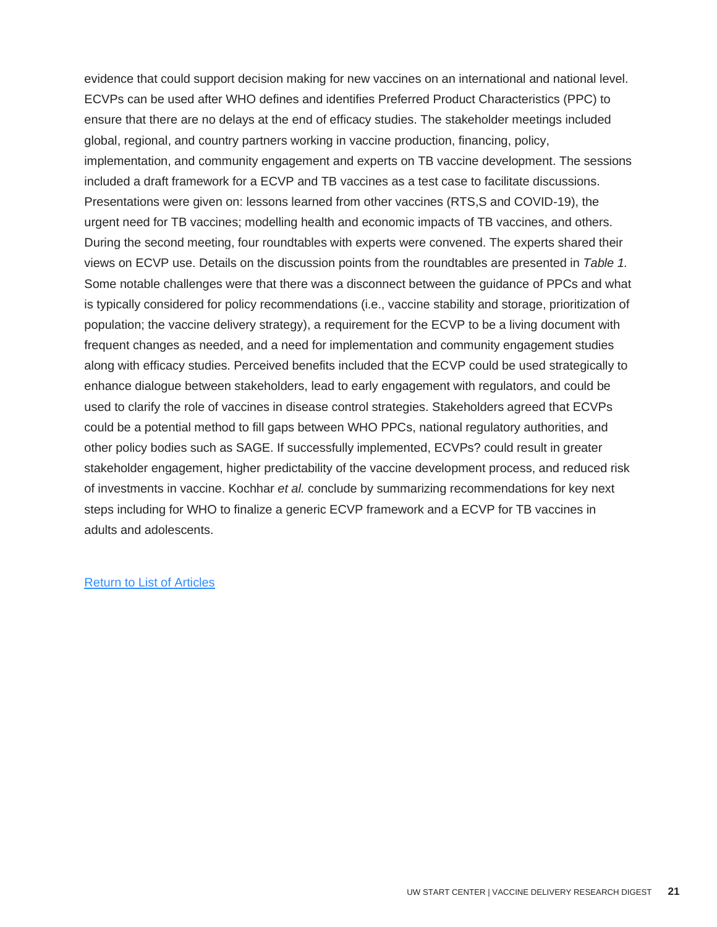<span id="page-21-0"></span>evidence that could support decision making for new vaccines on an international and national level. ECVPs can be used after WHO defines and identifies Preferred Product Characteristics (PPC) to ensure that there are no delays at the end of efficacy studies. The stakeholder meetings included global, regional, and country partners working in vaccine production, financing, policy, implementation, and community engagement and experts on TB vaccine development. The sessions included a draft framework for a ECVP and TB vaccines as a test case to facilitate discussions. Presentations were given on: lessons learned from other vaccines (RTS,S and COVID-19), the urgent need for TB vaccines; modelling health and economic impacts of TB vaccines, and others. During the second meeting, four roundtables with experts were convened. The experts shared their views on ECVP use. Details on the discussion points from the roundtables are presented in *Table 1.*  Some notable challenges were that there was a disconnect between the guidance of PPCs and what is typically considered for policy recommendations (i.e., vaccine stability and storage, prioritization of population; the vaccine delivery strategy), a requirement for the ECVP to be a living document with frequent changes as needed, and a need for implementation and community engagement studies along with efficacy studies. Perceived benefits included that the ECVP could be used strategically to enhance dialogue between stakeholders, lead to early engagement with regulators, and could be used to clarify the role of vaccines in disease control strategies. Stakeholders agreed that ECVPs could be a potential method to fill gaps between WHO PPCs, national regulatory authorities, and other policy bodies such as SAGE. If successfully implemented, ECVPs? could result in greater stakeholder engagement, higher predictability of the vaccine development process, and reduced risk of investments in vaccine. Kochhar *et al.* conclude by summarizing recommendations for key next steps including for WHO to finalize a generic ECVP framework and a ECVP for TB vaccines in adults and adolescents.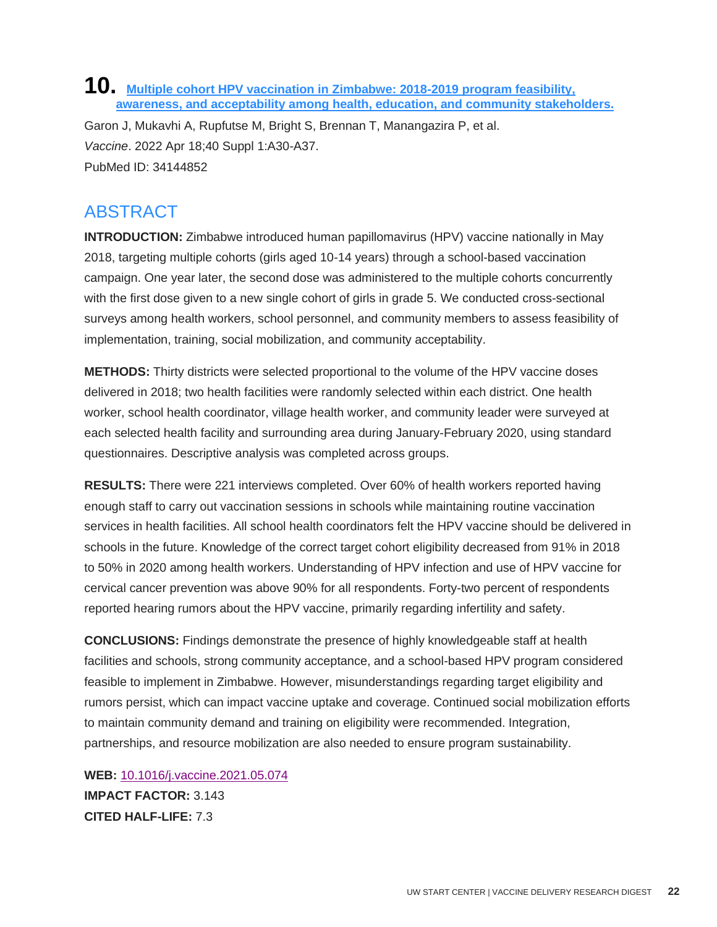## **10. [Multiple cohort HPV vaccination in Zimbabwe: 2018-2019 program feasibility,](http://doi.org/10.1016/j.vaccine.2021.05.074)  [awareness, and acceptability among health, education, and community stakeholders.](http://doi.org/10.1016/j.vaccine.2021.05.074)**

Garon J, Mukavhi A, Rupfutse M, Bright S, Brennan T, Manangazira P, et al. *Vaccine*. 2022 Apr 18;40 Suppl 1:A30-A37. PubMed ID: 34144852

## ABSTRACT

**INTRODUCTION:** Zimbabwe introduced human papillomavirus (HPV) vaccine nationally in May 2018, targeting multiple cohorts (girls aged 10-14 years) through a school-based vaccination campaign. One year later, the second dose was administered to the multiple cohorts concurrently with the first dose given to a new single cohort of girls in grade 5. We conducted cross-sectional surveys among health workers, school personnel, and community members to assess feasibility of implementation, training, social mobilization, and community acceptability.

**METHODS:** Thirty districts were selected proportional to the volume of the HPV vaccine doses delivered in 2018; two health facilities were randomly selected within each district. One health worker, school health coordinator, village health worker, and community leader were surveyed at each selected health facility and surrounding area during January-February 2020, using standard questionnaires. Descriptive analysis was completed across groups.

**RESULTS:** There were 221 interviews completed. Over 60% of health workers reported having enough staff to carry out vaccination sessions in schools while maintaining routine vaccination services in health facilities. All school health coordinators felt the HPV vaccine should be delivered in schools in the future. Knowledge of the correct target cohort eligibility decreased from 91% in 2018 to 50% in 2020 among health workers. Understanding of HPV infection and use of HPV vaccine for cervical cancer prevention was above 90% for all respondents. Forty-two percent of respondents reported hearing rumors about the HPV vaccine, primarily regarding infertility and safety.

**CONCLUSIONS:** Findings demonstrate the presence of highly knowledgeable staff at health facilities and schools, strong community acceptance, and a school-based HPV program considered feasible to implement in Zimbabwe. However, misunderstandings regarding target eligibility and rumors persist, which can impact vaccine uptake and coverage. Continued social mobilization efforts to maintain community demand and training on eligibility were recommended. Integration, partnerships, and resource mobilization are also needed to ensure program sustainability.

**WEB:** [10.1016/j.vaccine.2021.05.074](http://doi.org/10.1016/j.vaccine.2021.05.074) **IMPACT FACTOR:** 3.143 **CITED HALF-LIFE:** 7.3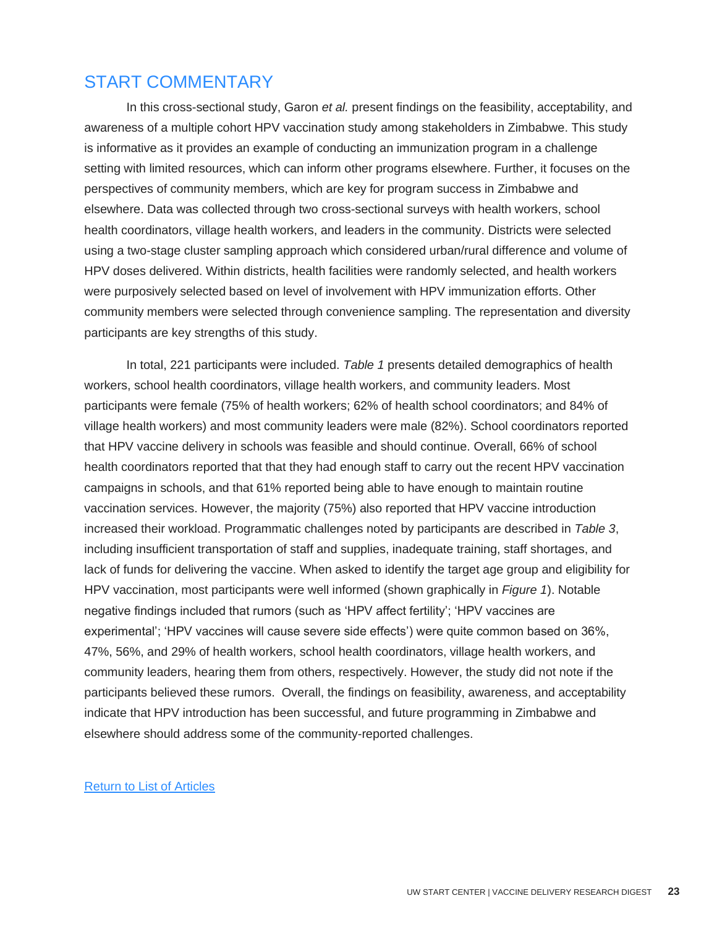## START COMMENTARY

In this cross-sectional study, Garon *et al.* present findings on the feasibility, acceptability, and awareness of a multiple cohort HPV vaccination study among stakeholders in Zimbabwe. This study is informative as it provides an example of conducting an immunization program in a challenge setting with limited resources, which can inform other programs elsewhere. Further, it focuses on the perspectives of community members, which are key for program success in Zimbabwe and elsewhere. Data was collected through two cross-sectional surveys with health workers, school health coordinators, village health workers, and leaders in the community. Districts were selected using a two-stage cluster sampling approach which considered urban/rural difference and volume of HPV doses delivered. Within districts, health facilities were randomly selected, and health workers were purposively selected based on level of involvement with HPV immunization efforts. Other community members were selected through convenience sampling. The representation and diversity participants are key strengths of this study.

In total, 221 participants were included. *Table 1* presents detailed demographics of health workers, school health coordinators, village health workers, and community leaders. Most participants were female (75% of health workers; 62% of health school coordinators; and 84% of village health workers) and most community leaders were male (82%). School coordinators reported that HPV vaccine delivery in schools was feasible and should continue. Overall, 66% of school health coordinators reported that that they had enough staff to carry out the recent HPV vaccination campaigns in schools, and that 61% reported being able to have enough to maintain routine vaccination services. However, the majority (75%) also reported that HPV vaccine introduction increased their workload. Programmatic challenges noted by participants are described in *Table 3*, including insufficient transportation of staff and supplies, inadequate training, staff shortages, and lack of funds for delivering the vaccine. When asked to identify the target age group and eligibility for HPV vaccination, most participants were well informed (shown graphically in *Figure 1*). Notable negative findings included that rumors (such as 'HPV affect fertility'; 'HPV vaccines are experimental'; 'HPV vaccines will cause severe side effects') were quite common based on 36%, 47%, 56%, and 29% of health workers, school health coordinators, village health workers, and community leaders, hearing them from others, respectively. However, the study did not note if the participants believed these rumors. Overall, the findings on feasibility, awareness, and acceptability indicate that HPV introduction has been successful, and future programming in Zimbabwe and elsewhere should address some of the community-reported challenges.